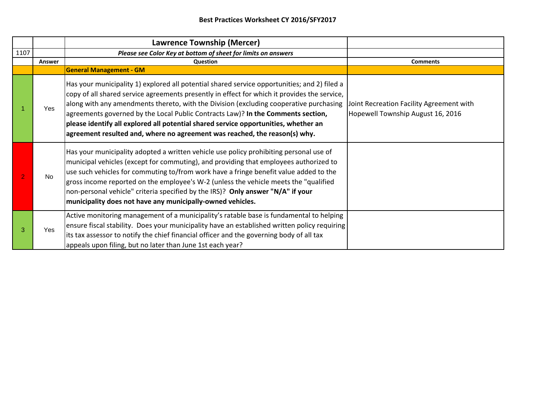|      |        | <b>Lawrence Township (Mercer)</b>                                                                                                                                                                                                                                                                                                                                                                                                                                                                                                               |                                                                               |
|------|--------|-------------------------------------------------------------------------------------------------------------------------------------------------------------------------------------------------------------------------------------------------------------------------------------------------------------------------------------------------------------------------------------------------------------------------------------------------------------------------------------------------------------------------------------------------|-------------------------------------------------------------------------------|
| 1107 |        | Please see Color Key at bottom of sheet for limits on answers                                                                                                                                                                                                                                                                                                                                                                                                                                                                                   |                                                                               |
|      | Answer | Question                                                                                                                                                                                                                                                                                                                                                                                                                                                                                                                                        | <b>Comments</b>                                                               |
|      |        | <b>General Management - GM</b>                                                                                                                                                                                                                                                                                                                                                                                                                                                                                                                  |                                                                               |
|      | Yes    | Has your municipality 1) explored all potential shared service opportunities; and 2) filed a<br>copy of all shared service agreements presently in effect for which it provides the service,<br>along with any amendments thereto, with the Division (excluding cooperative purchasing<br>agreements governed by the Local Public Contracts Law)? In the Comments section,<br>please identify all explored all potential shared service opportunities, whether an<br>agreement resulted and, where no agreement was reached, the reason(s) why. | Joint Recreation Facility Agreement with<br>Hopewell Township August 16, 2016 |
|      | No     | Has your municipality adopted a written vehicle use policy prohibiting personal use of<br>municipal vehicles (except for commuting), and providing that employees authorized to<br>use such vehicles for commuting to/from work have a fringe benefit value added to the<br>gross income reported on the employee's W-2 (unless the vehicle meets the "qualified<br>non-personal vehicle" criteria specified by the IRS)? Only answer "N/A" if your<br>municipality does not have any municipally-owned vehicles.                               |                                                                               |
|      | Yes    | Active monitoring management of a municipality's ratable base is fundamental to helping<br>ensure fiscal stability. Does your municipality have an established written policy requiring<br>lits tax assessor to notify the chief financial officer and the governing body of all tax<br>appeals upon filing, but no later than June 1st each year?                                                                                                                                                                                              |                                                                               |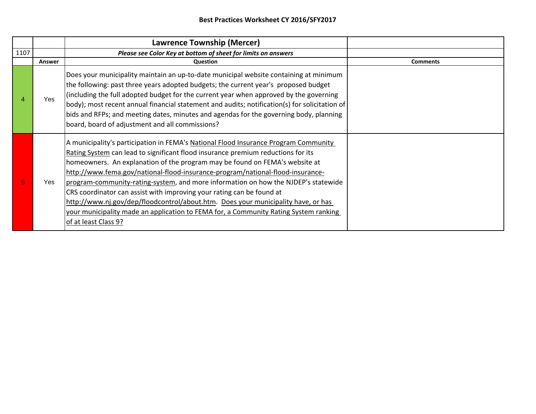|      |            | <b>Lawrence Township (Mercer)</b>                                                                                                                                                                                                                                                                                                                                                                                                                                                                                                                                                                                                                                                                            |                 |
|------|------------|--------------------------------------------------------------------------------------------------------------------------------------------------------------------------------------------------------------------------------------------------------------------------------------------------------------------------------------------------------------------------------------------------------------------------------------------------------------------------------------------------------------------------------------------------------------------------------------------------------------------------------------------------------------------------------------------------------------|-----------------|
| 1107 |            | Please see Color Key at bottom of sheet for limits on answers                                                                                                                                                                                                                                                                                                                                                                                                                                                                                                                                                                                                                                                |                 |
|      | Answer     | Question                                                                                                                                                                                                                                                                                                                                                                                                                                                                                                                                                                                                                                                                                                     | <b>Comments</b> |
| 4    | <b>Yes</b> | Does your municipality maintain an up-to-date municipal website containing at minimum<br>the following: past three years adopted budgets; the current year's proposed budget<br>(including the full adopted budget for the current year when approved by the governing<br>body); most recent annual financial statement and audits; notification(s) for solicitation of<br>bids and RFPs; and meeting dates, minutes and agendas for the governing body, planning<br>board, board of adjustment and all commissions?                                                                                                                                                                                         |                 |
| 5    | Yes        | A municipality's participation in FEMA's National Flood Insurance Program Community<br>Rating System can lead to significant flood insurance premium reductions for its<br>homeowners. An explanation of the program may be found on FEMA's website at<br>http://www.fema.gov/national-flood-insurance-program/national-flood-insurance-<br>program-community-rating-system, and more information on how the NJDEP's statewide<br>CRS coordinator can assist with improving your rating can be found at<br>http://www.nj.gov/dep/floodcontrol/about.htm. Does your municipality have, or has<br>your municipality made an application to FEMA for, a Community Rating System ranking<br>of at least Class 9? |                 |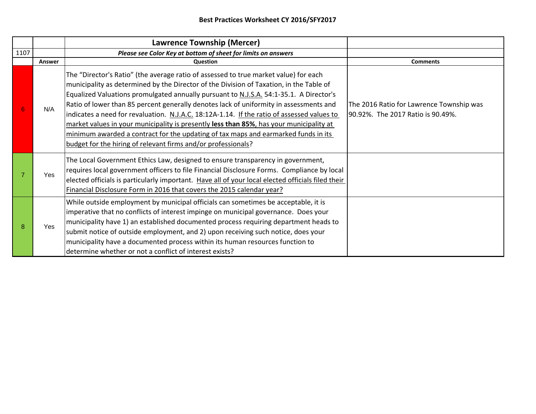|      |               | <b>Lawrence Township (Mercer)</b>                                                                                                                                                                                                                                                                                                                                                                                                                                                                                                                                                                                                                                                                                   |                                                                               |
|------|---------------|---------------------------------------------------------------------------------------------------------------------------------------------------------------------------------------------------------------------------------------------------------------------------------------------------------------------------------------------------------------------------------------------------------------------------------------------------------------------------------------------------------------------------------------------------------------------------------------------------------------------------------------------------------------------------------------------------------------------|-------------------------------------------------------------------------------|
| 1107 |               | Please see Color Key at bottom of sheet for limits on answers                                                                                                                                                                                                                                                                                                                                                                                                                                                                                                                                                                                                                                                       |                                                                               |
|      | <b>Answer</b> | <b>Question</b>                                                                                                                                                                                                                                                                                                                                                                                                                                                                                                                                                                                                                                                                                                     | <b>Comments</b>                                                               |
| 6    | N/A           | The "Director's Ratio" (the average ratio of assessed to true market value) for each<br>municipality as determined by the Director of the Division of Taxation, in the Table of<br>Equalized Valuations promulgated annually pursuant to N.J.S.A. 54:1-35.1. A Director's<br>Ratio of lower than 85 percent generally denotes lack of uniformity in assessments and<br>indicates a need for revaluation. N.J.A.C. 18:12A-1.14. If the ratio of assessed values to<br>market values in your municipality is presently less than 85%, has your municipality at<br>minimum awarded a contract for the updating of tax maps and earmarked funds in its<br>budget for the hiring of relevant firms and/or professionals? | The 2016 Ratio for Lawrence Township was<br>90.92%. The 2017 Ratio is 90.49%. |
|      | Yes           | The Local Government Ethics Law, designed to ensure transparency in government,<br>requires local government officers to file Financial Disclosure Forms. Compliance by local<br>elected officials is particularly important. Have all of your local elected officials filed their<br>Financial Disclosure Form in 2016 that covers the 2015 calendar year?                                                                                                                                                                                                                                                                                                                                                         |                                                                               |
| 8    | Yes           | While outside employment by municipal officials can sometimes be acceptable, it is<br>imperative that no conflicts of interest impinge on municipal governance. Does your<br>municipality have 1) an established documented process requiring department heads to<br>submit notice of outside employment, and 2) upon receiving such notice, does your<br>municipality have a documented process within its human resources function to<br>determine whether or not a conflict of interest exists?                                                                                                                                                                                                                  |                                                                               |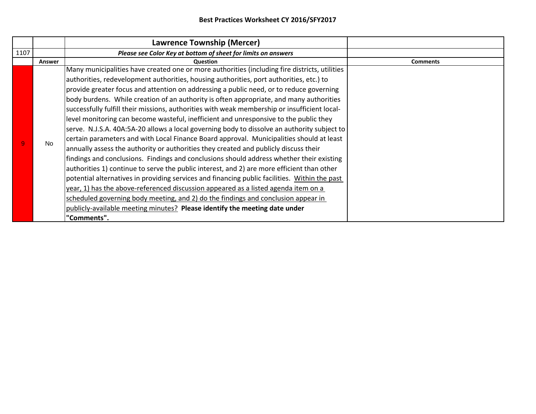|      |           | <b>Lawrence Township (Mercer)</b>                                                                                                                                                                                                                                                                                                                                                                                                                                                                                                                                                                                                                                                                                                                                                                                                                                                                                                                                                                                                                                                                                                                                                                                                                                                                                                                                                                                             |                 |
|------|-----------|-------------------------------------------------------------------------------------------------------------------------------------------------------------------------------------------------------------------------------------------------------------------------------------------------------------------------------------------------------------------------------------------------------------------------------------------------------------------------------------------------------------------------------------------------------------------------------------------------------------------------------------------------------------------------------------------------------------------------------------------------------------------------------------------------------------------------------------------------------------------------------------------------------------------------------------------------------------------------------------------------------------------------------------------------------------------------------------------------------------------------------------------------------------------------------------------------------------------------------------------------------------------------------------------------------------------------------------------------------------------------------------------------------------------------------|-----------------|
| 1107 |           | Please see Color Key at bottom of sheet for limits on answers                                                                                                                                                                                                                                                                                                                                                                                                                                                                                                                                                                                                                                                                                                                                                                                                                                                                                                                                                                                                                                                                                                                                                                                                                                                                                                                                                                 |                 |
|      | Answer    | Question                                                                                                                                                                                                                                                                                                                                                                                                                                                                                                                                                                                                                                                                                                                                                                                                                                                                                                                                                                                                                                                                                                                                                                                                                                                                                                                                                                                                                      | <b>Comments</b> |
|      | <b>No</b> | Many municipalities have created one or more authorities (including fire districts, utilities<br>authorities, redevelopment authorities, housing authorities, port authorities, etc.) to<br>provide greater focus and attention on addressing a public need, or to reduce governing<br>body burdens. While creation of an authority is often appropriate, and many authorities<br>successfully fulfill their missions, authorities with weak membership or insufficient local-<br>level monitoring can become wasteful, inefficient and unresponsive to the public they<br>serve. N.J.S.A. 40A:5A-20 allows a local governing body to dissolve an authority subject to<br>certain parameters and with Local Finance Board approval. Municipalities should at least<br>annually assess the authority or authorities they created and publicly discuss their<br>findings and conclusions. Findings and conclusions should address whether their existing<br>authorities 1) continue to serve the public interest, and 2) are more efficient than other<br>potential alternatives in providing services and financing public facilities. Within the past<br>year, 1) has the above-referenced discussion appeared as a listed agenda item on a<br>scheduled governing body meeting, and 2) do the findings and conclusion appear in<br>publicly-available meeting minutes? Please identify the meeting date under<br>"Comments". |                 |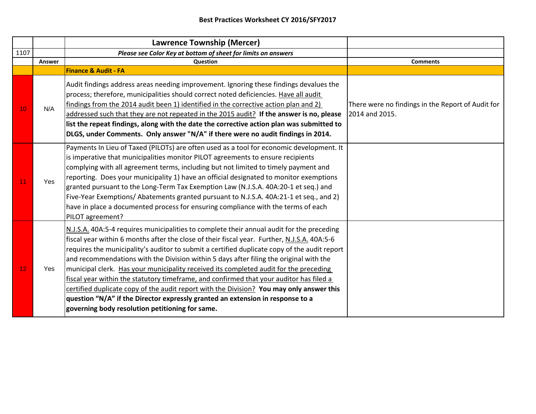|      |        | <b>Lawrence Township (Mercer)</b>                                                                                                                                                                                                                                                                                                                                                                                                                                                                                                                                                                                                                                                                                                                                                                       |                                                                     |
|------|--------|---------------------------------------------------------------------------------------------------------------------------------------------------------------------------------------------------------------------------------------------------------------------------------------------------------------------------------------------------------------------------------------------------------------------------------------------------------------------------------------------------------------------------------------------------------------------------------------------------------------------------------------------------------------------------------------------------------------------------------------------------------------------------------------------------------|---------------------------------------------------------------------|
| 1107 |        | Please see Color Key at bottom of sheet for limits on answers                                                                                                                                                                                                                                                                                                                                                                                                                                                                                                                                                                                                                                                                                                                                           |                                                                     |
|      | Answer | Question                                                                                                                                                                                                                                                                                                                                                                                                                                                                                                                                                                                                                                                                                                                                                                                                | <b>Comments</b>                                                     |
|      |        | <b>Finance &amp; Audit - FA</b>                                                                                                                                                                                                                                                                                                                                                                                                                                                                                                                                                                                                                                                                                                                                                                         |                                                                     |
| 10   | N/A    | Audit findings address areas needing improvement. Ignoring these findings devalues the<br>process; therefore, municipalities should correct noted deficiencies. Have all audit<br>findings from the 2014 audit been 1) identified in the corrective action plan and 2)<br>addressed such that they are not repeated in the 2015 audit? If the answer is no, please<br>list the repeat findings, along with the date the corrective action plan was submitted to<br>DLGS, under Comments. Only answer "N/A" if there were no audit findings in 2014.                                                                                                                                                                                                                                                     | There were no findings in the Report of Audit for<br>2014 and 2015. |
| 11   | Yes    | Payments In Lieu of Taxed (PILOTs) are often used as a tool for economic development. It<br>is imperative that municipalities monitor PILOT agreements to ensure recipients<br>complying with all agreement terms, including but not limited to timely payment and<br>reporting. Does your municipality 1) have an official designated to monitor exemptions<br>granted pursuant to the Long-Term Tax Exemption Law (N.J.S.A. 40A:20-1 et seq.) and<br>Five-Year Exemptions/Abatements granted pursuant to N.J.S.A. 40A:21-1 et seq., and 2)<br>have in place a documented process for ensuring compliance with the terms of each<br>PILOT agreement?                                                                                                                                                   |                                                                     |
| 12   | Yes    | N.J.S.A. 40A:5-4 requires municipalities to complete their annual audit for the preceding<br>fiscal year within 6 months after the close of their fiscal year. Further, N.J.S.A. 40A:5-6<br>requires the municipality's auditor to submit a certified duplicate copy of the audit report<br>and recommendations with the Division within 5 days after filing the original with the<br>municipal clerk. Has your municipality received its completed audit for the preceding<br>fiscal year within the statutory timeframe, and confirmed that your auditor has filed a<br>certified duplicate copy of the audit report with the Division? You may only answer this<br>question "N/A" if the Director expressly granted an extension in response to a<br>governing body resolution petitioning for same. |                                                                     |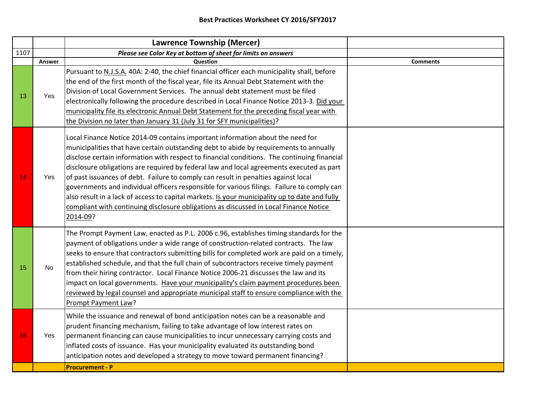|      |               | <b>Lawrence Township (Mercer)</b>                                                                                                                                                                                                                                                                                                                                                                                                                                                                                                                                                                                                                                                                                                                             |                 |
|------|---------------|---------------------------------------------------------------------------------------------------------------------------------------------------------------------------------------------------------------------------------------------------------------------------------------------------------------------------------------------------------------------------------------------------------------------------------------------------------------------------------------------------------------------------------------------------------------------------------------------------------------------------------------------------------------------------------------------------------------------------------------------------------------|-----------------|
| 1107 |               | Please see Color Key at bottom of sheet for limits on answers                                                                                                                                                                                                                                                                                                                                                                                                                                                                                                                                                                                                                                                                                                 |                 |
|      | <b>Answer</b> | <b>Question</b>                                                                                                                                                                                                                                                                                                                                                                                                                                                                                                                                                                                                                                                                                                                                               | <b>Comments</b> |
| 13   | Yes           | Pursuant to N.J.S.A. 40A: 2-40, the chief financial officer each municipality shall, before<br>the end of the first month of the fiscal year, file its Annual Debt Statement with the<br>Division of Local Government Services. The annual debt statement must be filed<br>electronically following the procedure described in Local Finance Notice 2013-3. Did your<br>municipality file its electronic Annual Debt Statement for the preceding fiscal year with<br>the Division no later than January 31 (July 31 for SFY municipalities)?                                                                                                                                                                                                                  |                 |
| 14   | Yes           | Local Finance Notice 2014-09 contains important information about the need for<br>municipalities that have certain outstanding debt to abide by requirements to annually<br>disclose certain information with respect to financial conditions. The continuing financial<br>disclosure obligations are required by federal law and local agreements executed as part<br>of past issuances of debt. Failure to comply can result in penalties against local<br>governments and individual officers responsible for various filings. Failure to comply can<br>also result in a lack of access to capital markets. Is your municipality up to date and fully<br>compliant with continuing disclosure obligations as discussed in Local Finance Notice<br>2014-09? |                 |
| 15   | <b>No</b>     | The Prompt Payment Law, enacted as P.L. 2006 c.96, establishes timing standards for the<br>payment of obligations under a wide range of construction-related contracts. The law<br>seeks to ensure that contractors submitting bills for completed work are paid on a timely,<br>established schedule, and that the full chain of subcontractors receive timely payment<br>from their hiring contractor. Local Finance Notice 2006-21 discusses the law and its<br>impact on local governments. Have your municipality's claim payment procedures been<br>reviewed by legal counsel and appropriate municipal staff to ensure compliance with the<br>Prompt Payment Law?                                                                                      |                 |
| 16   | Yes           | While the issuance and renewal of bond anticipation notes can be a reasonable and<br>prudent financing mechanism, failing to take advantage of low interest rates on<br>permanent financing can cause municipalities to incur unnecessary carrying costs and<br>inflated costs of issuance. Has your municipality evaluated its outstanding bond<br>anticipation notes and developed a strategy to move toward permanent financing?                                                                                                                                                                                                                                                                                                                           |                 |
|      |               | <b>Procurement - P</b>                                                                                                                                                                                                                                                                                                                                                                                                                                                                                                                                                                                                                                                                                                                                        |                 |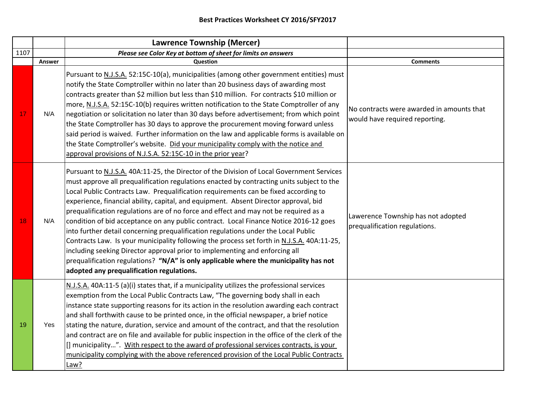|      |               | <b>Lawrence Township (Mercer)</b>                                                                                                                                                                                                                                                                                                                                                                                                                                                                                                                                                                                                                                                                                                                                                                                                                                                                                                                               |                                                                             |
|------|---------------|-----------------------------------------------------------------------------------------------------------------------------------------------------------------------------------------------------------------------------------------------------------------------------------------------------------------------------------------------------------------------------------------------------------------------------------------------------------------------------------------------------------------------------------------------------------------------------------------------------------------------------------------------------------------------------------------------------------------------------------------------------------------------------------------------------------------------------------------------------------------------------------------------------------------------------------------------------------------|-----------------------------------------------------------------------------|
| 1107 |               | Please see Color Key at bottom of sheet for limits on answers                                                                                                                                                                                                                                                                                                                                                                                                                                                                                                                                                                                                                                                                                                                                                                                                                                                                                                   |                                                                             |
|      | <b>Answer</b> | Question                                                                                                                                                                                                                                                                                                                                                                                                                                                                                                                                                                                                                                                                                                                                                                                                                                                                                                                                                        | <b>Comments</b>                                                             |
| 17   | N/A           | Pursuant to N.J.S.A. 52:15C-10(a), municipalities (among other government entities) must<br>notify the State Comptroller within no later than 20 business days of awarding most<br>contracts greater than \$2 million but less than \$10 million. For contracts \$10 million or<br>more, N.J.S.A. 52:15C-10(b) requires written notification to the State Comptroller of any<br>negotiation or solicitation no later than 30 days before advertisement; from which point<br>the State Comptroller has 30 days to approve the procurement moving forward unless<br>said period is waived. Further information on the law and applicable forms is available on<br>the State Comptroller's website. Did your municipality comply with the notice and<br>approval provisions of N.J.S.A. 52:15C-10 in the prior year?                                                                                                                                               | No contracts were awarded in amounts that<br>would have required reporting. |
| 18   | N/A           | Pursuant to N.J.S.A. 40A:11-25, the Director of the Division of Local Government Services<br>must approve all prequalification regulations enacted by contracting units subject to the<br>Local Public Contracts Law. Prequalification requirements can be fixed according to<br>experience, financial ability, capital, and equipment. Absent Director approval, bid<br>prequalification regulations are of no force and effect and may not be required as a<br>condition of bid acceptance on any public contract. Local Finance Notice 2016-12 goes<br>into further detail concerning prequalification regulations under the Local Public<br>Contracts Law. Is your municipality following the process set forth in N.J.S.A. 40A:11-25,<br>including seeking Director approval prior to implementing and enforcing all<br>prequalification regulations? "N/A" is only applicable where the municipality has not<br>adopted any prequalification regulations. | Lawerence Township has not adopted<br>prequalification regulations.         |
| 19   | Yes           | N.J.S.A. 40A:11-5 (a)(i) states that, if a municipality utilizes the professional services<br>exemption from the Local Public Contracts Law, "The governing body shall in each<br>instance state supporting reasons for its action in the resolution awarding each contract<br>and shall forthwith cause to be printed once, in the official newspaper, a brief notice<br>stating the nature, duration, service and amount of the contract, and that the resolution<br>and contract are on file and available for public inspection in the office of the clerk of the<br>[] municipality". With respect to the award of professional services contracts, is your<br>municipality complying with the above referenced provision of the Local Public Contracts<br>Law?                                                                                                                                                                                            |                                                                             |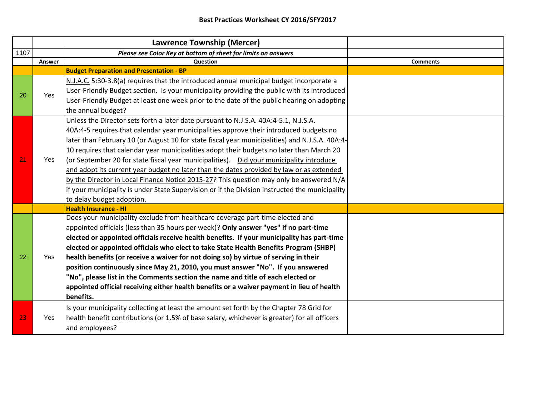|      |               | <b>Lawrence Township (Mercer)</b>                                                                                                                                                                                                                                                                                                                                                                                                                                                                                                                                                                                                                                                                                                                                                             |                 |
|------|---------------|-----------------------------------------------------------------------------------------------------------------------------------------------------------------------------------------------------------------------------------------------------------------------------------------------------------------------------------------------------------------------------------------------------------------------------------------------------------------------------------------------------------------------------------------------------------------------------------------------------------------------------------------------------------------------------------------------------------------------------------------------------------------------------------------------|-----------------|
| 1107 |               | Please see Color Key at bottom of sheet for limits on answers                                                                                                                                                                                                                                                                                                                                                                                                                                                                                                                                                                                                                                                                                                                                 |                 |
|      | <b>Answer</b> | Question                                                                                                                                                                                                                                                                                                                                                                                                                                                                                                                                                                                                                                                                                                                                                                                      | <b>Comments</b> |
|      |               | <b>Budget Preparation and Presentation - BP</b>                                                                                                                                                                                                                                                                                                                                                                                                                                                                                                                                                                                                                                                                                                                                               |                 |
| 20   | Yes           | N.J.A.C. 5:30-3.8(a) requires that the introduced annual municipal budget incorporate a<br>User-Friendly Budget section. Is your municipality providing the public with its introduced<br>User-Friendly Budget at least one week prior to the date of the public hearing on adopting<br>the annual budget?                                                                                                                                                                                                                                                                                                                                                                                                                                                                                    |                 |
| 21   | Yes           | Unless the Director sets forth a later date pursuant to N.J.S.A. 40A:4-5.1, N.J.S.A.<br>40A:4-5 requires that calendar year municipalities approve their introduced budgets no<br>later than February 10 (or August 10 for state fiscal year municipalities) and N.J.S.A. 40A:4-<br>10 requires that calendar year municipalities adopt their budgets no later than March 20<br>(or September 20 for state fiscal year municipalities). Did your municipality introduce<br>and adopt its current year budget no later than the dates provided by law or as extended<br>by the Director in Local Finance Notice 2015-27? This question may only be answered N/A<br>if your municipality is under State Supervision or if the Division instructed the municipality<br>to delay budget adoption. |                 |
|      |               | <b>Health Insurance - HI</b>                                                                                                                                                                                                                                                                                                                                                                                                                                                                                                                                                                                                                                                                                                                                                                  |                 |
| 22   | Yes           | Does your municipality exclude from healthcare coverage part-time elected and<br>appointed officials (less than 35 hours per week)? Only answer "yes" if no part-time<br>elected or appointed officials receive health benefits. If your municipality has part-time<br>elected or appointed officials who elect to take State Health Benefits Program (SHBP)<br>health benefits (or receive a waiver for not doing so) by virtue of serving in their<br>position continuously since May 21, 2010, you must answer "No". If you answered<br>"No", please list in the Comments section the name and title of each elected or<br>appointed official receiving either health benefits or a waiver payment in lieu of health<br>benefits.                                                          |                 |
| 23   | Yes           | Is your municipality collecting at least the amount set forth by the Chapter 78 Grid for<br>health benefit contributions (or 1.5% of base salary, whichever is greater) for all officers<br>and employees?                                                                                                                                                                                                                                                                                                                                                                                                                                                                                                                                                                                    |                 |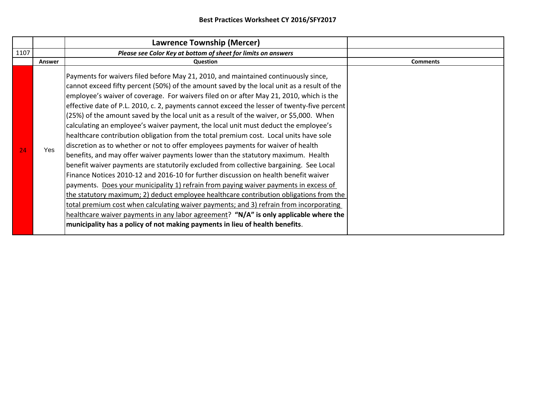|      |        | <b>Lawrence Township (Mercer)</b>                                                                                                                                                                                                                                                                                                                                                                                                                                                                                                                                                                                                                                                                                                                                                                                                                                                                                                                                                                                                                                                                                                                                                                                                                                                                                                                                                                                                                                   |                 |
|------|--------|---------------------------------------------------------------------------------------------------------------------------------------------------------------------------------------------------------------------------------------------------------------------------------------------------------------------------------------------------------------------------------------------------------------------------------------------------------------------------------------------------------------------------------------------------------------------------------------------------------------------------------------------------------------------------------------------------------------------------------------------------------------------------------------------------------------------------------------------------------------------------------------------------------------------------------------------------------------------------------------------------------------------------------------------------------------------------------------------------------------------------------------------------------------------------------------------------------------------------------------------------------------------------------------------------------------------------------------------------------------------------------------------------------------------------------------------------------------------|-----------------|
| 1107 |        | Please see Color Key at bottom of sheet for limits on answers                                                                                                                                                                                                                                                                                                                                                                                                                                                                                                                                                                                                                                                                                                                                                                                                                                                                                                                                                                                                                                                                                                                                                                                                                                                                                                                                                                                                       |                 |
|      | Answer | Question                                                                                                                                                                                                                                                                                                                                                                                                                                                                                                                                                                                                                                                                                                                                                                                                                                                                                                                                                                                                                                                                                                                                                                                                                                                                                                                                                                                                                                                            | <b>Comments</b> |
| 24   | Yes.   | Payments for waivers filed before May 21, 2010, and maintained continuously since,<br>cannot exceed fifty percent (50%) of the amount saved by the local unit as a result of the<br>employee's waiver of coverage. For waivers filed on or after May 21, 2010, which is the<br>effective date of P.L. 2010, c. 2, payments cannot exceed the lesser of twenty-five percent<br>(25%) of the amount saved by the local unit as a result of the waiver, or \$5,000. When<br>calculating an employee's waiver payment, the local unit must deduct the employee's<br>healthcare contribution obligation from the total premium cost. Local units have sole<br>discretion as to whether or not to offer employees payments for waiver of health<br>benefits, and may offer waiver payments lower than the statutory maximum. Health<br>benefit waiver payments are statutorily excluded from collective bargaining. See Local<br>Finance Notices 2010-12 and 2016-10 for further discussion on health benefit waiver<br>payments. Does your municipality 1) refrain from paying waiver payments in excess of<br>the statutory maximum; 2) deduct employee healthcare contribution obligations from the<br>total premium cost when calculating waiver payments; and 3) refrain from incorporating<br>healthcare waiver payments in any labor agreement? "N/A" is only applicable where the<br>municipality has a policy of not making payments in lieu of health benefits. |                 |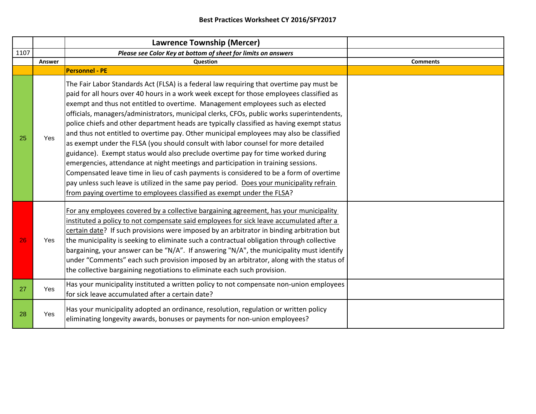|      |               | <b>Lawrence Township (Mercer)</b>                                                                                                                                                                                                                                                                                                                                                                                                                                                                                                                                                                                                                                                                                                                                                                                                                                                                                                                                                                                                                                                         |                 |
|------|---------------|-------------------------------------------------------------------------------------------------------------------------------------------------------------------------------------------------------------------------------------------------------------------------------------------------------------------------------------------------------------------------------------------------------------------------------------------------------------------------------------------------------------------------------------------------------------------------------------------------------------------------------------------------------------------------------------------------------------------------------------------------------------------------------------------------------------------------------------------------------------------------------------------------------------------------------------------------------------------------------------------------------------------------------------------------------------------------------------------|-----------------|
| 1107 |               | Please see Color Key at bottom of sheet for limits on answers                                                                                                                                                                                                                                                                                                                                                                                                                                                                                                                                                                                                                                                                                                                                                                                                                                                                                                                                                                                                                             |                 |
|      | <b>Answer</b> | Question                                                                                                                                                                                                                                                                                                                                                                                                                                                                                                                                                                                                                                                                                                                                                                                                                                                                                                                                                                                                                                                                                  | <b>Comments</b> |
|      |               | <b>Personnel - PE</b>                                                                                                                                                                                                                                                                                                                                                                                                                                                                                                                                                                                                                                                                                                                                                                                                                                                                                                                                                                                                                                                                     |                 |
| 25   | Yes           | The Fair Labor Standards Act (FLSA) is a federal law requiring that overtime pay must be<br>paid for all hours over 40 hours in a work week except for those employees classified as<br>exempt and thus not entitled to overtime. Management employees such as elected<br>officials, managers/administrators, municipal clerks, CFOs, public works superintendents,<br>police chiefs and other department heads are typically classified as having exempt status<br>and thus not entitled to overtime pay. Other municipal employees may also be classified<br>as exempt under the FLSA (you should consult with labor counsel for more detailed<br>guidance). Exempt status would also preclude overtime pay for time worked during<br>emergencies, attendance at night meetings and participation in training sessions.<br>Compensated leave time in lieu of cash payments is considered to be a form of overtime<br>pay unless such leave is utilized in the same pay period. Does your municipality refrain<br>from paying overtime to employees classified as exempt under the FLSA? |                 |
| 26   | Yes           | For any employees covered by a collective bargaining agreement, has your municipality<br>instituted a policy to not compensate said employees for sick leave accumulated after a<br>certain date? If such provisions were imposed by an arbitrator in binding arbitration but<br>the municipality is seeking to eliminate such a contractual obligation through collective<br>bargaining, your answer can be "N/A". If answering "N/A", the municipality must identify<br>under "Comments" each such provision imposed by an arbitrator, along with the status of<br>the collective bargaining negotiations to eliminate each such provision.                                                                                                                                                                                                                                                                                                                                                                                                                                             |                 |
| 27   | <b>Yes</b>    | Has your municipality instituted a written policy to not compensate non-union employees<br>for sick leave accumulated after a certain date?                                                                                                                                                                                                                                                                                                                                                                                                                                                                                                                                                                                                                                                                                                                                                                                                                                                                                                                                               |                 |
| 28   | Yes           | Has your municipality adopted an ordinance, resolution, regulation or written policy<br>eliminating longevity awards, bonuses or payments for non-union employees?                                                                                                                                                                                                                                                                                                                                                                                                                                                                                                                                                                                                                                                                                                                                                                                                                                                                                                                        |                 |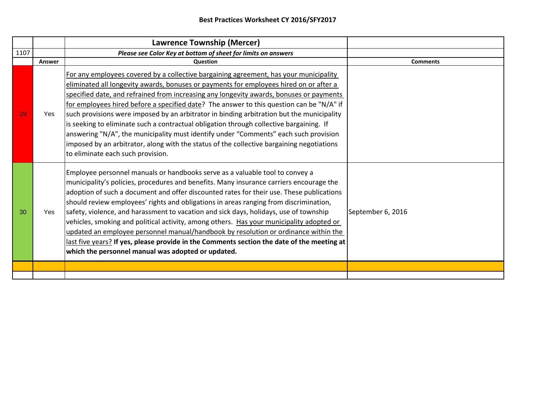|      |        | <b>Lawrence Township (Mercer)</b>                                                                                                                                                                                                                                                                                                                                                                                                                                                                                                                                                                                                                                                                                                                                                            |                   |
|------|--------|----------------------------------------------------------------------------------------------------------------------------------------------------------------------------------------------------------------------------------------------------------------------------------------------------------------------------------------------------------------------------------------------------------------------------------------------------------------------------------------------------------------------------------------------------------------------------------------------------------------------------------------------------------------------------------------------------------------------------------------------------------------------------------------------|-------------------|
| 1107 |        | Please see Color Key at bottom of sheet for limits on answers                                                                                                                                                                                                                                                                                                                                                                                                                                                                                                                                                                                                                                                                                                                                |                   |
|      | Answer | Question                                                                                                                                                                                                                                                                                                                                                                                                                                                                                                                                                                                                                                                                                                                                                                                     | <b>Comments</b>   |
| 29   | Yes    | For any employees covered by a collective bargaining agreement, has your municipality<br>eliminated all longevity awards, bonuses or payments for employees hired on or after a<br>specified date, and refrained from increasing any longevity awards, bonuses or payments<br>for employees hired before a specified date? The answer to this question can be "N/A" if<br>such provisions were imposed by an arbitrator in binding arbitration but the municipality<br>is seeking to eliminate such a contractual obligation through collective bargaining. If<br>answering "N/A", the municipality must identify under "Comments" each such provision<br>imposed by an arbitrator, along with the status of the collective bargaining negotiations<br>to eliminate each such provision.     |                   |
| 30   | Yes    | Employee personnel manuals or handbooks serve as a valuable tool to convey a<br>municipality's policies, procedures and benefits. Many insurance carriers encourage the<br>adoption of such a document and offer discounted rates for their use. These publications<br>should review employees' rights and obligations in areas ranging from discrimination,<br>safety, violence, and harassment to vacation and sick days, holidays, use of township<br>vehicles, smoking and political activity, among others. Has your municipality adopted or<br>updated an employee personnel manual/handbook by resolution or ordinance within the<br>last five years? If yes, please provide in the Comments section the date of the meeting at<br>which the personnel manual was adopted or updated. | September 6, 2016 |
|      |        |                                                                                                                                                                                                                                                                                                                                                                                                                                                                                                                                                                                                                                                                                                                                                                                              |                   |
|      |        |                                                                                                                                                                                                                                                                                                                                                                                                                                                                                                                                                                                                                                                                                                                                                                                              |                   |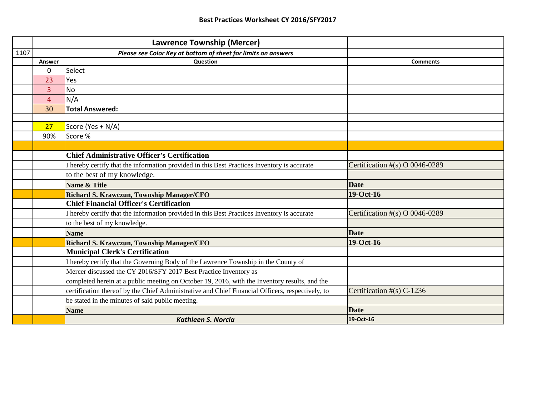|      |                | <b>Lawrence Township (Mercer)</b>                                                                |                                   |
|------|----------------|--------------------------------------------------------------------------------------------------|-----------------------------------|
| 1107 |                | Please see Color Key at bottom of sheet for limits on answers                                    |                                   |
|      | Answer         | Question                                                                                         | <b>Comments</b>                   |
|      | 0              | Select                                                                                           |                                   |
|      | 23             | Yes                                                                                              |                                   |
|      | 3              | <b>No</b>                                                                                        |                                   |
|      | $\overline{4}$ | N/A                                                                                              |                                   |
|      | 30             | <b>Total Answered:</b>                                                                           |                                   |
|      |                |                                                                                                  |                                   |
|      | 27             | Score (Yes + N/A)                                                                                |                                   |
|      | 90%            | Score %                                                                                          |                                   |
|      |                |                                                                                                  |                                   |
|      |                | <b>Chief Administrative Officer's Certification</b>                                              |                                   |
|      |                | I hereby certify that the information provided in this Best Practices Inventory is accurate      | Certification $\#(s)$ O 0046-0289 |
|      |                | to the best of my knowledge.                                                                     |                                   |
|      |                | Name & Title                                                                                     | <b>Date</b>                       |
|      |                | Richard S. Krawczun, Township Manager/CFO                                                        | 19-Oct-16                         |
|      |                | <b>Chief Financial Officer's Certification</b>                                                   |                                   |
|      |                | I hereby certify that the information provided in this Best Practices Inventory is accurate      | Certification $\#(s)$ O 0046-0289 |
|      |                | to the best of my knowledge.                                                                     |                                   |
|      |                | <b>Name</b>                                                                                      | <b>Date</b>                       |
|      |                | Richard S. Krawczun, Township Manager/CFO                                                        | 19-Oct-16                         |
|      |                | <b>Municipal Clerk's Certification</b>                                                           |                                   |
|      |                | I hereby certify that the Governing Body of the Lawrence Township in the County of               |                                   |
|      |                | Mercer discussed the CY 2016/SFY 2017 Best Practice Inventory as                                 |                                   |
|      |                | completed herein at a public meeting on October 19, 2016, with the Inventory results, and the    |                                   |
|      |                | certification thereof by the Chief Administrative and Chief Financial Officers, respectively, to | Certification $#(s)$ C-1236       |
|      |                | be stated in the minutes of said public meeting.                                                 |                                   |
|      |                | <b>Name</b>                                                                                      | <b>Date</b>                       |
|      |                | <b>Kathleen S. Norcia</b>                                                                        | 19-Oct-16                         |